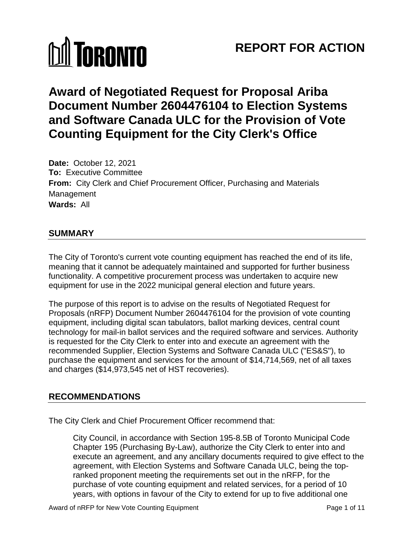# **100 TORONTO REPORT FOR ACTION**

## **Award of Negotiated Request for Proposal Ariba Document Number 2604476104 to Election Systems and Software Canada ULC for the Provision of Vote Counting Equipment for the City Clerk's Office**

 **Date:** October 12, 2021 **To:** Executive Committee **From:** City Clerk and Chief Procurement Officer, Purchasing and Materials **Wards:** All Management

#### **SUMMARY**

 meaning that it cannot be adequately maintained and supported for further business The City of Toronto's current vote counting equipment has reached the end of its life, functionality. A competitive procurement process was undertaken to acquire new equipment for use in the 2022 municipal general election and future years.

 technology for mail-in ballot services and the required software and services. Authority The purpose of this report is to advise on the results of Negotiated Request for Proposals (nRFP) Document Number 2604476104 for the provision of vote counting equipment, including digital scan tabulators, ballot marking devices, central count is requested for the City Clerk to enter into and execute an agreement with the recommended Supplier, Election Systems and Software Canada ULC ("ES&S"), to purchase the equipment and services for the amount of \$14,714,569, net of all taxes and charges (\$14,973,545 net of HST recoveries).

#### **RECOMMENDATIONS**

The City Clerk and Chief Procurement Officer recommend that:

 ranked proponent meeting the requirements set out in the nRFP, for the City Council, in accordance with Section 195-8.5B of Toronto Municipal Code Chapter 195 (Purchasing By-Law), authorize the City Clerk to enter into and execute an agreement, and any ancillary documents required to give effect to the agreement, with Election Systems and Software Canada ULC, being the toppurchase of vote counting equipment and related services, for a period of 10 years, with options in favour of the City to extend for up to five additional one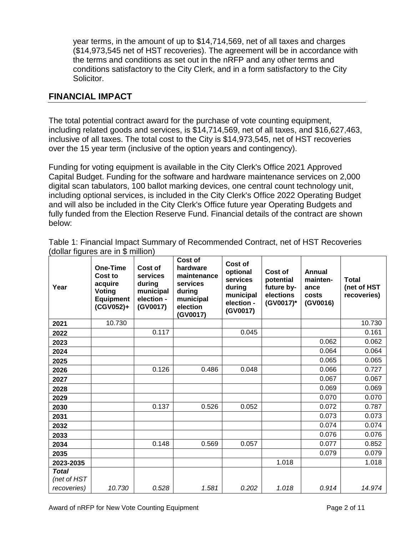year terms, in the amount of up to \$14,714,569, net of all taxes and charges (\$14,973,545 net of HST recoveries). The agreement will be in accordance with the terms and conditions as set out in the nRFP and any other terms and conditions satisfactory to the City Clerk, and in a form satisfactory to the City Solicitor.

#### **FINANCIAL IMPACT**

 The total potential contract award for the purchase of vote counting equipment, inclusive of all taxes. The total cost to the City is \$14,973,545, net of HST recoveries including related goods and services, is \$14,714,569, net of all taxes, and \$16,627,463, over the 15 year term (inclusive of the option years and contingency).

 Capital Budget. Funding for the software and hardware maintenance services on 2,000 digital scan tabulators, 100 ballot marking devices, one central count technology unit, Funding for voting equipment is available in the City Clerk's Office 2021 Approved including optional services, is included in the City Clerk's Office 2022 Operating Budget and will also be included in the City Clerk's Office future year Operating Budgets and fully funded from the Election Reserve Fund. Financial details of the contract are shown below:

| Year                                               | One-Time<br>Cost to<br>acquire<br>Voting<br><b>Equipment</b><br>(CGV052)+ | Cost of<br>services<br>during<br>municipal<br>election -<br>(GV0017) | Cost of<br>hardware<br>maintenance<br>services<br>during<br>municipal<br>election<br>(GV0017) | Cost of<br>optional<br>services<br>during<br>municipal<br>election -<br>(GV0017) | Cost of<br>potential<br>future by-<br>elections<br>(GV0017)* | Annual<br>mainten-<br>ance<br>costs<br>(GV0016) | <b>Total</b><br>(net of HST<br>recoveries) |
|----------------------------------------------------|---------------------------------------------------------------------------|----------------------------------------------------------------------|-----------------------------------------------------------------------------------------------|----------------------------------------------------------------------------------|--------------------------------------------------------------|-------------------------------------------------|--------------------------------------------|
| 2021                                               | 10.730                                                                    |                                                                      |                                                                                               |                                                                                  |                                                              |                                                 | 10.730                                     |
| 2022                                               |                                                                           | 0.117                                                                |                                                                                               | 0.045                                                                            |                                                              |                                                 | 0.161                                      |
| 2023                                               |                                                                           |                                                                      |                                                                                               |                                                                                  |                                                              | 0.062                                           | 0.062                                      |
| 2024                                               |                                                                           |                                                                      |                                                                                               |                                                                                  |                                                              | 0.064                                           | 0.064                                      |
| 2025                                               |                                                                           |                                                                      |                                                                                               |                                                                                  |                                                              | 0.065                                           | 0.065                                      |
| 2026                                               |                                                                           | 0.126                                                                | 0.486                                                                                         | 0.048                                                                            |                                                              | 0.066                                           | 0.727                                      |
| 2027                                               |                                                                           |                                                                      |                                                                                               |                                                                                  |                                                              | 0.067                                           | 0.067                                      |
| 2028                                               |                                                                           |                                                                      |                                                                                               |                                                                                  |                                                              | 0.069                                           | 0.069                                      |
| 2029                                               |                                                                           |                                                                      |                                                                                               |                                                                                  |                                                              | 0.070                                           | 0.070                                      |
| 2030                                               |                                                                           | 0.137                                                                | 0.526                                                                                         | 0.052                                                                            |                                                              | 0.072                                           | 0.787                                      |
| 2031                                               |                                                                           |                                                                      |                                                                                               |                                                                                  |                                                              | 0.073                                           | 0.073                                      |
| 2032                                               |                                                                           |                                                                      |                                                                                               |                                                                                  |                                                              | 0.074                                           | 0.074                                      |
| 2033                                               |                                                                           |                                                                      |                                                                                               |                                                                                  |                                                              | 0.076                                           | 0.076                                      |
| 2034                                               |                                                                           | 0.148                                                                | 0.569                                                                                         | 0.057                                                                            |                                                              | 0.077                                           | 0.852                                      |
| 2035                                               |                                                                           |                                                                      |                                                                                               |                                                                                  |                                                              | 0.079                                           | 0.079                                      |
| 2023-2035                                          |                                                                           |                                                                      |                                                                                               |                                                                                  | 1.018                                                        |                                                 | 1.018                                      |
| <b>Total</b><br>(net of HST<br><i>recoveries</i> ) | 10.730                                                                    | 0.528                                                                | 1.581                                                                                         | 0.202                                                                            | 1.018                                                        | 0.914                                           | 14.974                                     |

Table 1: Financial Impact Summary of Recommended Contract, net of HST Recoveries (dollar figures are in \$ million)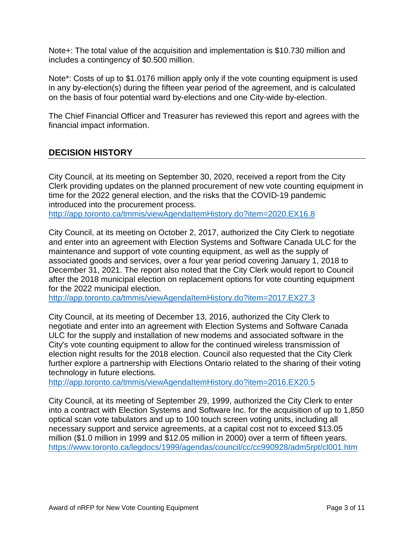Note+: The total value of the acquisition and implementation is \$10.730 million and includes a contingency of \$0.500 million.

 Note\*: Costs of up to \$1.0176 million apply only if the vote counting equipment is used in any by-election(s) during the fifteen year period of the agreement, and is calculated on the basis of four potential ward by-elections and one City-wide by-election.

The Chief Financial Officer and Treasurer has reviewed this report and agrees with the financial impact information.

### **DECISION HISTORY**

City Council, at its meeting on September 30, 2020, received a report from the City Clerk providing updates on the planned procurement of new vote counting equipment in time for the 2022 general election, and the risks that the COVID-19 pandemic introduced into the procurement process. http://app.toronto.ca/tmmis/viewAgendaItemHistory.do?item=2020.EX16.8

City Council, at its meeting on October 2, 2017, authorized the City Clerk to negotiate and enter into an agreement with Election Systems and Software Canada ULC for the maintenance and support of vote counting equipment, as well as the supply of associated goods and services, over a four year period covering January 1, 2018 to December 31, 2021. The report also noted that the City Clerk would report to Council after the 2018 municipal election on replacement options for vote counting equipment for the 2022 municipal election.

<http://app.toronto.ca/tmmis/viewAgendaItemHistory.do?item=2017.EX27.3>

City Council, at its meeting of December 13, 2016, authorized the City Clerk to negotiate and enter into an agreement with Election Systems and Software Canada ULC for the supply and installation of new modems and associated software in the City's vote counting equipment to allow for the continued wireless transmission of election night results for the 2018 election. Council also requested that the City Clerk further explore a partnership with Elections Ontario related to the sharing of their voting technology in future elections.

<http://app.toronto.ca/tmmis/viewAgendaItemHistory.do?item=2016.EX20.5>

 City Council, at its meeting of September 29, 1999, authorized the City Clerk to enter million (\$1.0 million in 1999 and \$12.05 million in 2000) over a term of fifteen years. into a contract with Election Systems and Software Inc. for the acquisition of up to 1,850 optical scan vote tabulators and up to 100 touch screen voting units, including all necessary support and service agreements, at a capital cost not to exceed \$13.05 <https://www.toronto.ca/legdocs/1999/agendas/council/cc/cc990928/adm5rpt/cl001.htm>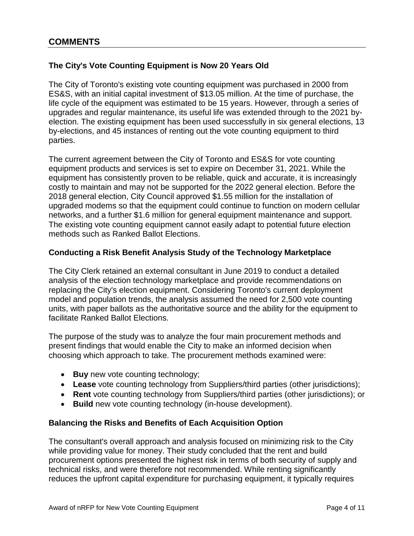#### **The City's Vote Counting Equipment is Now 20 Years Old**

 The City of Toronto's existing vote counting equipment was purchased in 2000 from ES&S, with an initial capital investment of \$13.05 million. At the time of purchase, the life cycle of the equipment was estimated to be 15 years. However, through a series of upgrades and regular maintenance, its useful life was extended through to the 2021 byelection. The existing equipment has been used successfully in six general elections, 13 by-elections, and 45 instances of renting out the vote counting equipment to third parties.

 equipment products and services is set to expire on December 31, 2021. While the costly to maintain and may not be supported for the 2022 general election. Before the 2018 general election, City Council approved \$1.55 million for the installation of The existing vote counting equipment cannot easily adapt to potential future election The current agreement between the City of Toronto and ES&S for vote counting equipment has consistently proven to be reliable, quick and accurate, it is increasingly upgraded modems so that the equipment could continue to function on modern cellular networks, and a further \$1.6 million for general equipment maintenance and support. methods such as Ranked Ballot Elections.

#### **Conducting a Risk Benefit Analysis Study of the Technology Marketplace**

facilitate Ranked Ballot Elections. The City Clerk retained an external consultant in June 2019 to conduct a detailed analysis of the election technology marketplace and provide recommendations on replacing the City's election equipment. Considering Toronto's current deployment model and population trends, the analysis assumed the need for 2,500 vote counting units, with paper ballots as the authoritative source and the ability for the equipment to

 choosing which approach to take. The procurement methods examined were: The purpose of the study was to analyze the four main procurement methods and present findings that would enable the City to make an informed decision when

- **Buy** new vote counting technology;
- **Lease** vote counting technology from Suppliers/third parties (other jurisdictions);
- **Rent** vote counting technology from Suppliers/third parties (other jurisdictions); or
- **Build** new vote counting technology (in-house development).

#### **Balancing the Risks and Benefits of Each Acquisition Option**

 technical risks, and were therefore not recommended. While renting significantly The consultant's overall approach and analysis focused on minimizing risk to the City while providing value for money. Their study concluded that the rent and build procurement options presented the highest risk in terms of both security of supply and reduces the upfront capital expenditure for purchasing equipment, it typically requires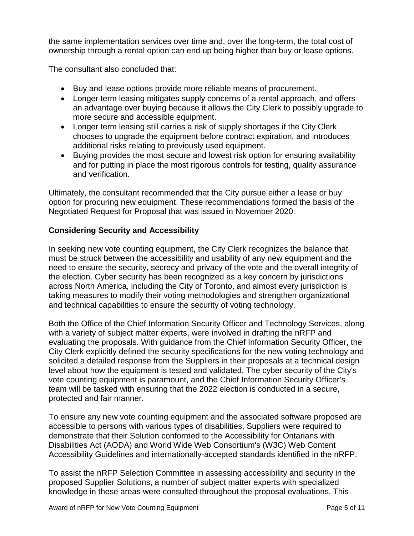the same implementation services over time and, over the long-term, the total cost of ownership through a rental option can end up being higher than buy or lease options.

The consultant also concluded that:

- Buy and lease options provide more reliable means of procurement.
- • Longer term leasing mitigates supply concerns of a rental approach, and offers an advantage over buying because it allows the City Clerk to possibly upgrade to more secure and accessible equipment.
- • Longer term leasing still carries a risk of supply shortages if the City Clerk chooses to upgrade the equipment before contract expiration, and introduces additional risks relating to previously used equipment.
- $\bullet$ and verification. • Buying provides the most secure and lowest risk option for ensuring availability and for putting in place the most rigorous controls for testing, quality assurance

 option for procuring new equipment. These recommendations formed the basis of the Negotiated Request for Proposal that was issued in November 2020. Ultimately, the consultant recommended that the City pursue either a lease or buy

#### **Considering Security and Accessibility**

 across North America, including the City of Toronto, and almost every jurisdiction is In seeking new vote counting equipment, the City Clerk recognizes the balance that must be struck between the accessibility and usability of any new equipment and the need to ensure the security, secrecy and privacy of the vote and the overall integrity of the election. Cyber security has been recognized as a key concern by jurisdictions taking measures to modify their voting methodologies and strengthen organizational and technical capabilities to ensure the security of voting technology.

 level about how the equipment is tested and validated. The cyber security of the City's vote counting equipment is paramount, and the Chief Information Security Officer's Both the Office of the Chief Information Security Officer and Technology Services, along with a variety of subject matter experts, were involved in drafting the nRFP and evaluating the proposals. With guidance from the Chief Information Security Officer, the City Clerk explicitly defined the security specifications for the new voting technology and solicited a detailed response from the Suppliers in their proposals at a technical design team will be tasked with ensuring that the 2022 election is conducted in a secure, protected and fair manner.

 accessible to persons with various types of disabilities, Suppliers were required to demonstrate that their Solution conformed to the Accessibility for Ontarians with Accessibility Guidelines and internationally-accepted standards identified in the nRFP. To ensure any new vote counting equipment and the associated software proposed are Disabilities Act (AODA) and World Wide Web Consortium's (W3C) Web Content

 proposed Supplier Solutions, a number of subject matter experts with specialized To assist the nRFP Selection Committee in assessing accessibility and security in the knowledge in these areas were consulted throughout the proposal evaluations. This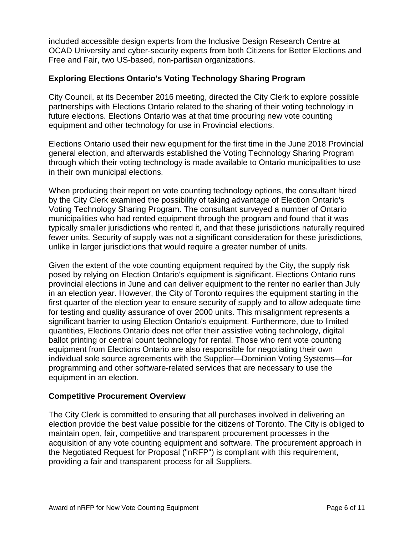Free and Fair, two US-based, non-partisan organizations. included accessible design experts from the Inclusive Design Research Centre at OCAD University and cyber-security experts from both Citizens for Better Elections and

#### **Exploring Elections Ontario's Voting Technology Sharing Program**

 future elections. Elections Ontario was at that time procuring new vote counting City Council, at its December 2016 meeting, directed the City Clerk to explore possible partnerships with Elections Ontario related to the sharing of their voting technology in equipment and other technology for use in Provincial elections.

 through which their voting technology is made available to Ontario municipalities to use Elections Ontario used their new equipment for the first time in the June 2018 Provincial general election, and afterwards established the Voting Technology Sharing Program in their own municipal elections.

 fewer units. Security of supply was not a significant consideration for these jurisdictions, unlike in larger jurisdictions that would require a greater number of units. When producing their report on vote counting technology options, the consultant hired by the City Clerk examined the possibility of taking advantage of Election Ontario's Voting Technology Sharing Program. The consultant surveyed a number of Ontario municipalities who had rented equipment through the program and found that it was typically smaller jurisdictions who rented it, and that these jurisdictions naturally required

 provincial elections in June and can deliver equipment to the renter no earlier than July equipment from Elections Ontario are also responsible for negotiating their own Given the extent of the vote counting equipment required by the City, the supply risk posed by relying on Election Ontario's equipment is significant. Elections Ontario runs in an election year. However, the City of Toronto requires the equipment starting in the first quarter of the election year to ensure security of supply and to allow adequate time for testing and quality assurance of over 2000 units. This misalignment represents a significant barrier to using Election Ontario's equipment. Furthermore, due to limited quantities, Elections Ontario does not offer their assistive voting technology, digital ballot printing or central count technology for rental. Those who rent vote counting individual sole source agreements with the Supplier—Dominion Voting Systems—for programming and other software-related services that are necessary to use the equipment in an election.

#### **Competitive Procurement Overview**

 election provide the best value possible for the citizens of Toronto. The City is obliged to providing a fair and transparent process for all Suppliers. The City Clerk is committed to ensuring that all purchases involved in delivering an maintain open, fair, competitive and transparent procurement processes in the acquisition of any vote counting equipment and software. The procurement approach in the Negotiated Request for Proposal ("nRFP") is compliant with this requirement, providing a fair and transparent process for all Suppliers.<br>Award of nRFP for New Vote Counting Equipment Page 6 of 11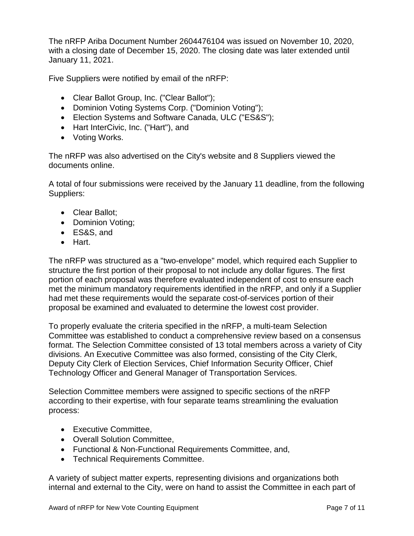The nRFP Ariba Document Number 2604476104 was issued on November 10, 2020, with a closing date of December 15, 2020. The closing date was later extended until January 11, 2021.

Five Suppliers were notified by email of the nRFP:

- Clear Ballot Group, Inc. ("Clear Ballot");
- Dominion Voting Systems Corp. ("Dominion Voting");
- Election Systems and Software Canada, ULC ("ES&S");
- Hart InterCivic, Inc. ("Hart"), and
- Voting Works.

 The nRFP was also advertised on the City's website and 8 Suppliers viewed the documents online.

A total of four submissions were received by the January 11 deadline, from the following Suppliers:

- Clear Ballot;
- Dominion Voting;
- ES&S, and
- Hart.

 structure the first portion of their proposal to not include any dollar figures. The first portion of each proposal was therefore evaluated independent of cost to ensure each proposal be examined and evaluated to determine the lowest cost provider. The nRFP was structured as a "two-envelope" model, which required each Supplier to met the minimum mandatory requirements identified in the nRFP, and only if a Supplier had met these requirements would the separate cost-of-services portion of their

To properly evaluate the criteria specified in the nRFP, a multi-team Selection Committee was established to conduct a comprehensive review based on a consensus format. The Selection Committee consisted of 13 total members across a variety of City divisions. An Executive Committee was also formed, consisting of the City Clerk, Deputy City Clerk of Election Services, Chief Information Security Officer, Chief Technology Officer and General Manager of Transportation Services.

Selection Committee members were assigned to specific sections of the nRFP according to their expertise, with four separate teams streamlining the evaluation process:

- Executive Committee,
- Overall Solution Committee,
- Functional & Non-Functional Requirements Committee, and,
- Technical Requirements Committee.

 internal and external to the City, were on hand to assist the Committee in each part of A variety of subject matter experts, representing divisions and organizations both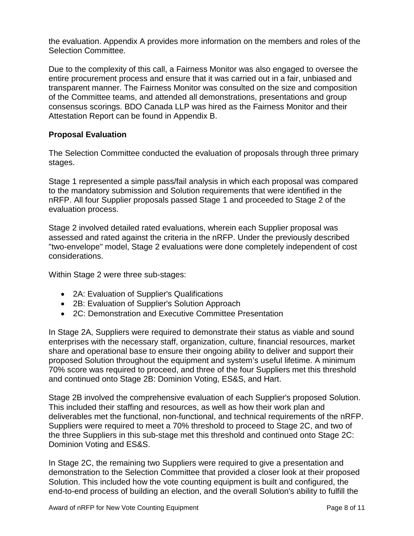the evaluation. Appendix A provides more information on the members and roles of the Selection Committee.

 of the Committee teams, and attended all demonstrations, presentations and group Due to the complexity of this call, a Fairness Monitor was also engaged to oversee the entire procurement process and ensure that it was carried out in a fair, unbiased and transparent manner. The Fairness Monitor was consulted on the size and composition consensus scorings. BDO Canada LLP was hired as the Fairness Monitor and their Attestation Report can be found in Appendix B.

#### **Proposal Evaluation**

The Selection Committee conducted the evaluation of proposals through three primary stages.

Stage 1 represented a simple pass/fail analysis in which each proposal was compared to the mandatory submission and Solution requirements that were identified in the nRFP. All four Supplier proposals passed Stage 1 and proceeded to Stage 2 of the evaluation process.

Stage 2 involved detailed rated evaluations, wherein each Supplier proposal was assessed and rated against the criteria in the nRFP. Under the previously described "two-envelope" model, Stage 2 evaluations were done completely independent of cost considerations.

Within Stage 2 were three sub-stages:

- 2A: Evaluation of Supplier's Qualifications
- 2B: Evaluation of Supplier's Solution Approach
- 2C: Demonstration and Executive Committee Presentation

 In Stage 2A, Suppliers were required to demonstrate their status as viable and sound proposed Solution throughout the equipment and system's useful lifetime. A minimum enterprises with the necessary staff, organization, culture, financial resources, market share and operational base to ensure their ongoing ability to deliver and support their 70% score was required to proceed, and three of the four Suppliers met this threshold and continued onto Stage 2B: Dominion Voting, ES&S, and Hart.

 This included their staffing and resources, as well as how their work plan and Dominion Voting and ES&S. Stage 2B involved the comprehensive evaluation of each Supplier's proposed Solution. deliverables met the functional, non-functional, and technical requirements of the nRFP. Suppliers were required to meet a 70% threshold to proceed to Stage 2C, and two of the three Suppliers in this sub-stage met this threshold and continued onto Stage 2C:

 Solution. This included how the vote counting equipment is built and configured, the end-to-end process of building an election, and the overall Solution's ability to fulfill the In Stage 2C, the remaining two Suppliers were required to give a presentation and demonstration to the Selection Committee that provided a closer look at their proposed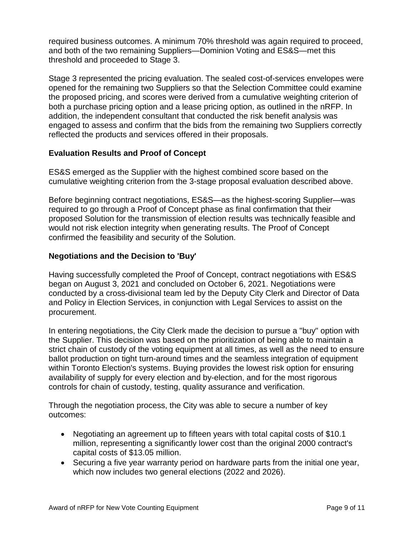required business outcomes. A minimum 70% threshold was again required to proceed, and both of the two remaining Suppliers—Dominion Voting and ES&S—met this threshold and proceeded to Stage 3.

 Stage 3 represented the pricing evaluation. The sealed cost-of-services envelopes were opened for the remaining two Suppliers so that the Selection Committee could examine engaged to assess and confirm that the bids from the remaining two Suppliers correctly reflected the products and services offered in their proposals. the proposed pricing, and scores were derived from a cumulative weighting criterion of both a purchase pricing option and a lease pricing option, as outlined in the nRFP. In addition, the independent consultant that conducted the risk benefit analysis was

#### **Evaluation Results and Proof of Concept**

ES&S emerged as the Supplier with the highest combined score based on the cumulative weighting criterion from the 3-stage proposal evaluation described above.

 required to go through a Proof of Concept phase as final confirmation that their confirmed the feasibility and security of the Solution. Before beginning contract negotiations, ES&S—as the highest-scoring Supplier—was proposed Solution for the transmission of election results was technically feasible and would not risk election integrity when generating results. The Proof of Concept

#### **Negotiations and the Decision to 'Buy'**

 and Policy in Election Services, in conjunction with Legal Services to assist on the Having successfully completed the Proof of Concept, contract negotiations with ES&S began on August 3, 2021 and concluded on October 6, 2021. Negotiations were conducted by a cross-divisional team led by the Deputy City Clerk and Director of Data procurement.

 ballot production on tight turn-around times and the seamless integration of equipment availability of supply for every election and by-election, and for the most rigorous In entering negotiations, the City Clerk made the decision to pursue a "buy" option with the Supplier. This decision was based on the prioritization of being able to maintain a strict chain of custody of the voting equipment at all times, as well as the need to ensure within Toronto Election's systems. Buying provides the lowest risk option for ensuring controls for chain of custody, testing, quality assurance and verification.

Through the negotiation process, the City was able to secure a number of key outcomes:

- million, representing a significantly lower cost than the original 2000 contract's • Negotiating an agreement up to fifteen years with total capital costs of \$10.1 capital costs of \$13.05 million.
- • Securing a five year warranty period on hardware parts from the initial one year, which now includes two general elections (2022 and 2026).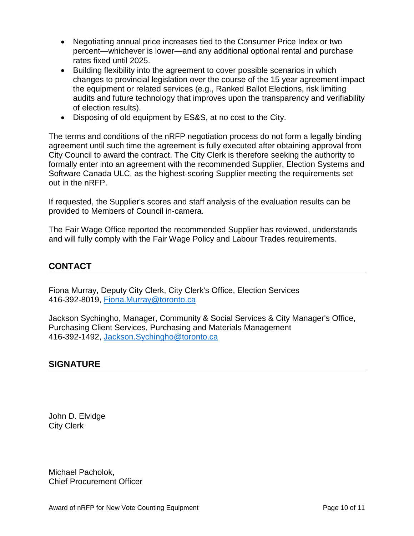- Negotiating annual price increases tied to the Consumer Price Index or two percent—whichever is lower—and any additional optional rental and purchase rates fixed until 2025.
- • Building flexibility into the agreement to cover possible scenarios in which changes to provincial legislation over the course of the 15 year agreement impact the equipment or related services (e.g., Ranked Ballot Elections, risk limiting audits and future technology that improves upon the transparency and verifiability of election results).
- Disposing of old equipment by ES&S, at no cost to the City.

 • Disposing of old equipment by ES&S, at no cost to the City. The terms and conditions of the nRFP negotiation process do not form a legally binding Software Canada ULC, as the highest-scoring Supplier meeting the requirements set out in the nRFP. agreement until such time the agreement is fully executed after obtaining approval from City Council to award the contract. The City Clerk is therefore seeking the authority to formally enter into an agreement with the recommended Supplier, Election Systems and

out in the nRFP.<br>If requested, the Supplier's scores and staff analysis of the evaluation results can be provided to Members of Council in-camera.

 and will fully comply with the Fair Wage Policy and Labour Trades requirements. The Fair Wage Office reported the recommended Supplier has reviewed, understands

#### **CONTACT**

 Fiona Murray, Deputy City Clerk, City Clerk's Office, Election Services 416-392-8019, [Fiona.Murray@toronto.ca](mailto:Fiona.Murray@toronto.ca) 

 Jackson Sychingho, Manager, Community & Social Services & City Manager's Office, Purchasing Client Services, Purchasing and Materials Management 416-392-1492, [Jackson.Sychingho@toronto.ca](mailto:Jackson.Sychingho@toronto.ca) 

#### **SIGNATURE**

John D. Elvidge City Clerk

Michael Pacholok, Chief Procurement Officer